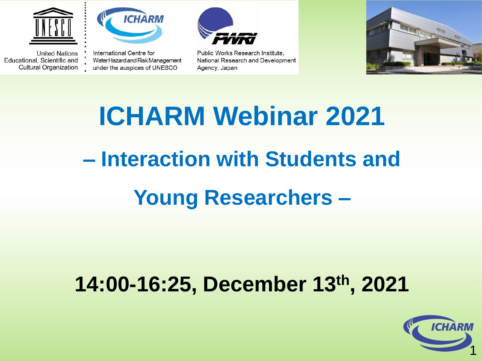

**United Nations** 

Educational, Scientific and

**Cultural Organization** 



International Centre for Water Hazard and Risk Management under the auspices of UNESCO



Public Works Research Institute, National Research and Development Agency, Japan



# **ICHARM Webinar 2021 – Interaction with Students and Young Researchers –**

#### **14:00-16:25, December 13th, 2021**

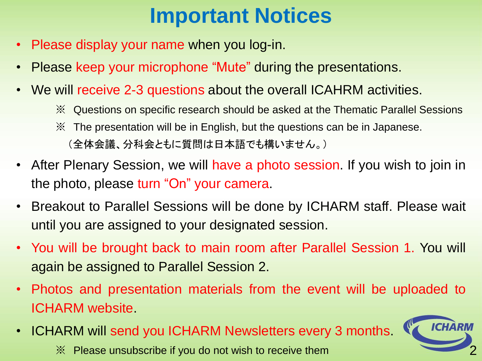### **Important Notices**

- Please display your name when you log-in.
- Please keep your microphone "Mute" during the presentations.
- We will receive 2-3 questions about the overall ICAHRM activities.
	- ※ Questions on specific research should be asked at the Thematic Parallel Sessions
	- ※ The presentation will be in English, but the questions can be in Japanese. (全体会議、分科会ともに質問は日本語でも構いません。)
- After Plenary Session, we will have a photo session. If you wish to join in the photo, please turn "On" your camera.
- Breakout to Parallel Sessions will be done by ICHARM staff. Please wait until you are assigned to your designated session.
- You will be brought back to main room after Parallel Session 1. You will again be assigned to Parallel Session 2.
- Photos and presentation materials from the event will be uploaded to ICHARM website.
- ICHARM will send you ICHARM Newsletters every 3 months.



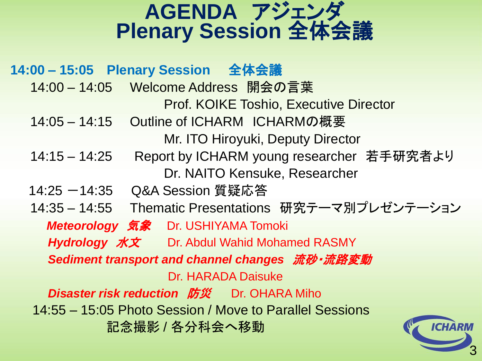#### **AGENDA** アジェンダ **Plenary Session** 全体会議

**14:00 – 15:05 Plenary Session** 全体会議 14:00 – 14:05 Welcome Address 開会の言葉 Prof. KOIKE Toshio, Executive Director 14:05 – 14:15 Outline of ICHARM ICHARMの概要 Mr. ITO Hiroyuki, Deputy Director 14:15 – 14:25 Report by ICHARM young researcher 若手研究者より Dr. NAITO Kensuke, Researcher 14:25 -14:35 Q&A Session 質疑応答 14:35 – 14:55 Thematic Presentations 研究テーマ別プレゼンテーション *Meteorology* 気象 Dr. USHIYAMA Tomoki *Hydrology* 水文 Dr. Abdul Wahid Mohamed RASMY *Sediment transport and channel changes* 流砂・流路変動 Dr. HARADA Daisuke **Disaster risk reduction 防災** Dr. OHARA Miho 14:55 – 15:05 Photo Session / Move to Parallel Sessions 記念撮影 / 各分科会へ移動

3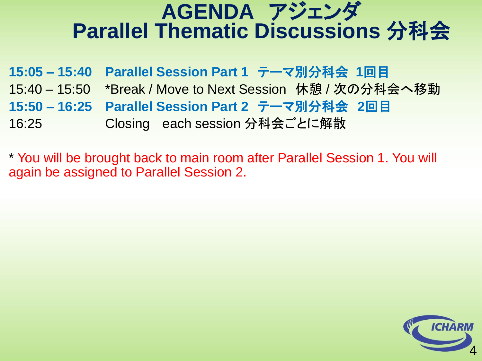#### **AGENDA** アジェンダ **Parallel Thematic Discussions** 分科会

|       | 15:05 - 15:40 Parallel Session Part 1 テーマ別分科会 1回目          |
|-------|------------------------------------------------------------|
|       | 15:40 – 15:50 *Break / Move to Next Session  休憩 / 次の分科会へ移動 |
|       | 15:50 – 16:25 Parallel Session Part 2  テーマ別分科会   2回目       |
| 16:25 | Closing each session 分科会ごとに解散                              |

\* You will be brought back to main room after Parallel Session 1. You will again be assigned to Parallel Session 2.